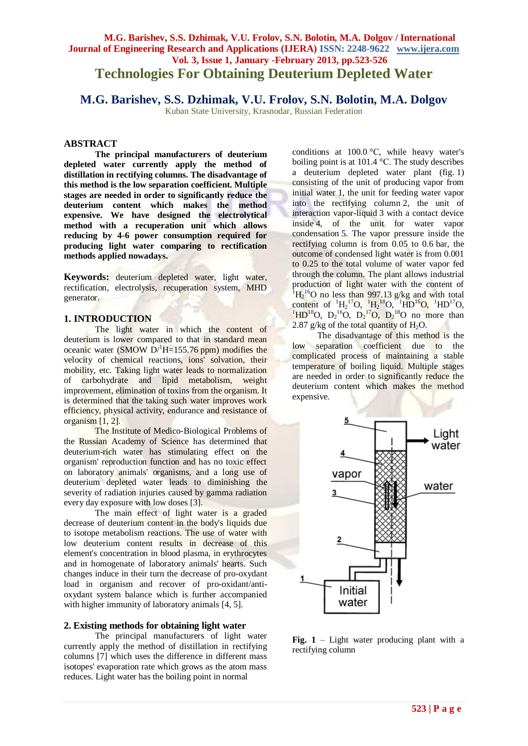# **M.G. Barishev, S.S. Dzhimak, V.U. Frolov, S.N. Bolotin, M.A. Dolgov / International Journal of Engineering Research and Applications (IJERA) ISSN: 2248-9622 www.ijera.com Vol. 3, Issue 1, January -February 2013, pp.523-526 Technologies For Obtaining Deuterium Depleted Water**

## **M.G. Barishev, S.S. Dzhimak, V.U. Frolov, S.N. Bolotin, M.A. Dolgov**

Kuban State University, Krasnodar, Russian Federation

#### **ABSTRACT**

**The principal manufacturers of deuterium depleted water currently apply the method of distillation in rectifying columns. The disadvantage of this method is the low separation coefficient. Multiple stages are needed in order to significantly reduce the deuterium content which makes the method expensive. We have designed the electrolytical method with a recuperation unit which allows reducing by 4-6 power consumption required for producing light water comparing to rectification methods applied nowadays.**

**Keywords:** deuterium depleted water, light water, rectification, electrolysis, recuperation system, MHD generator.

## **1. INTRODUCTION**

The light water in which the content of deuterium is lower compared to that in standard mean oceanic water (SMOW  $D^{1}H=155.76$  ppm) modifies the velocity of chemical reactions, ions' solvation, their mobility, etc. Taking light water leads to normalization of carbohydrate and lipid metabolism, weight improvement, elimination of toxins from the organism. It is determined that the taking such water improves work efficiency, physical activity, endurance and resistance of organism [1, 2].

The Institute of Medico-Вiological Problems of the Russian Academy of Science has determined that deuterium-rich water has stimulating effect on the organism' reproduction function and has no toxic effect on laboratory animals' organisms, and a long use of deuterium depleted water leads to diminishing the severity of radiation injuries caused by gamma radiation every day exposure with low doses [3].

The main effect of light water is a graded decrease of deuterium content in the body's liquids due to isotope metabolism reactions. The use of water with low deuterium content results in decrease of this element's concentration in blood plasma, in erythrocytes and in homogenate of laboratory animals' hearts. Such changes induce in their turn the decrease of pro-oxydant load in organism and recover of pro-oxidant/antioxydant system balance which is further accompanied with higher immunity of laboratory animals [4, 5].

#### **2. Existing methods for obtaining light water**

The principal manufacturers of light water currently apply the method of distillation in rectifying columns [7] which uses the difference in different mass isotopes' evaporation rate which grows as the atom mass reduces. Light water has the boiling point in normal

conditions at 100.0 °С, while heavy water's boiling point is at 101.4 °С. The study describes a deuterium depleted water plant (fig. 1) consisting of the unit of producing vapor from initial water 1, the unit for feeding water vapor into the rectifying column 2, the unit of interaction vapor-liquid 3 with a contact device inside 4, of the unit for water vapor condensation 5. The vapor pressure inside the rectifying column is from 0.05 to 0.6 bar, the outcome of condensed light water is from 0.001 to 0.25 to the total volume of water vapor fed through the column. The plant allows industrial production of light water with the content of  ${}^{1}H_{2}{}^{16}O$  no less than 997.13 g/kg and with total content of  ${}^{1}H_{2}{}^{17}O$ ,  ${}^{1}H_{2}{}^{18}O$ ,  ${}^{1}HD_{0}{}^{16}O$ ,  ${}^{1}HD_{0}{}^{17}O$ , <sup>1</sup>HD<sup>18</sup>O, D<sub>2</sub><sup>16</sup>O, D<sub>2</sub><sup>17</sup>O, D<sub>2</sub><sup>18</sup>O no more than 2.87 g/kg of the total quantity of  $H_2O$ .

The disadvantage of this method is the low separation coefficient due to the complicated process of maintaining a stable temperature of boiling liquid. Multiple stages are needed in order to significantly reduce the deuterium content which makes the method expensive.



**Fig. 1** – Light water producing plant with a rectifying column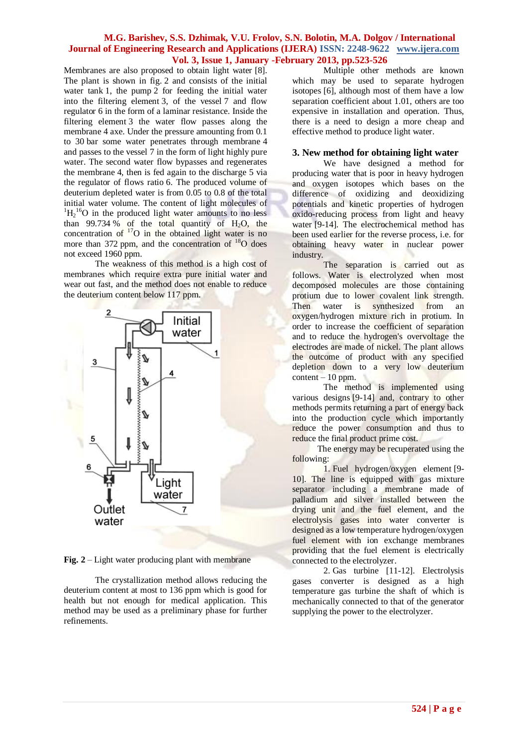## **M.G. Barishev, S.S. Dzhimak, V.U. Frolov, S.N. Bolotin, M.A. Dolgov / International Journal of Engineering Research and Applications (IJERA) ISSN: 2248-9622 www.ijera.com Vol. 3, Issue 1, January -February 2013, pp.523-526**

Membranes are also proposed to obtain light water [8]. The plant is shown in fig. 2 and consists of the initial water tank 1, the pump 2 for feeding the initial water into the filtering element 3, of the vessel 7 and flow regulator 6 in the form of a laminar resistance. Inside the filtering element 3 the water flow passes along the membrane 4 axe. Under the pressure amounting from 0.1 to 30 bar some water penetrates through membrane 4 and passes to the vessel 7 in the form of light highly pure water. The second water flow bypasses and regenerates the membrane 4, then is fed again to the discharge 5 via the regulator of flows ratio 6. The produced volume of deuterium depleted water is from 0.05 to 0.8 of the total initial water volume. The content of light molecules of  ${}^{1}H_{2}{}^{16}O$  in the produced light water amounts to no less than 99.734 % of the total quantity of  $H_2O$ , the concentration of  $17$ O in the obtained light water is no more than 372 ppm, and the concentration of  $^{18}$ O does not exceed 1960 ppm.

The weakness of this method is a high cost of membranes which require extra pure initial water and wear out fast, and the method does not enable to reduce the deuterium content below 117 ppm.



**Fig. 2** – Light water producing plant with membrane

The crystallization method allows reducing the deuterium content at most to 136 ppm which is good for health but not enough for medical application. This method may be used as a preliminary phase for further refinements.

Multiple other methods are known which may be used to separate hydrogen isotopes [6], although most of them have a low separation coefficient about 1.01, others are too expensive in installation and operation. Thus, there is a need to design a more cheap and effective method to produce light water.

#### **3. New method for obtaining light water**

We have designed a method for producing water that is poor in heavy hydrogen and oxygen isotopes which bases on the difference of oxidizing and deoxidizing potentials and kinetic properties of hydrogen oxido-reducing process from light and heavy water [9-14]. The electrochemical method has been used earlier for the reverse process, i.e. for obtaining heavy water in nuclear power industry.

The separation is carried out as follows. Water is electrolyzed when most decomposed molecules are those containing protium due to lower covalent link strength. Then water is synthesized from an oxygen/hydrogen mixture rich in protium. In order to increase the coefficient of separation and to reduce the hydrogen's overvoltage the electrodes are made of nickel. The plant allows the outcome of product with any specified depletion down to a very low deuterium  $content - 10 ppm.$ 

The method is implemented using various designs [9-14] and, contrary to other methods permits returning a part of energy back into the production cycle which importantly reduce the power consumption and thus to reduce the final product prime cost.

The energy may be recuperated using the following:

1. Fuel hydrogen/oxygen element [9- 10]. The line is equipped with gas mixture separator including a membrane made of palladium and silver installed between the drying unit and the fuel element, and the electrolysis gases into water converter is designed as a low temperature hydrogen/oxygen fuel element with ion exchange membranes providing that the fuel element is electrically connected to the electrolyzer.

2. Gas turbine [11-12]. Electrolysis gases converter is designed as a high temperature gas turbine the shaft of which is mechanically connected to that of the generator supplying the power to the electrolyzer.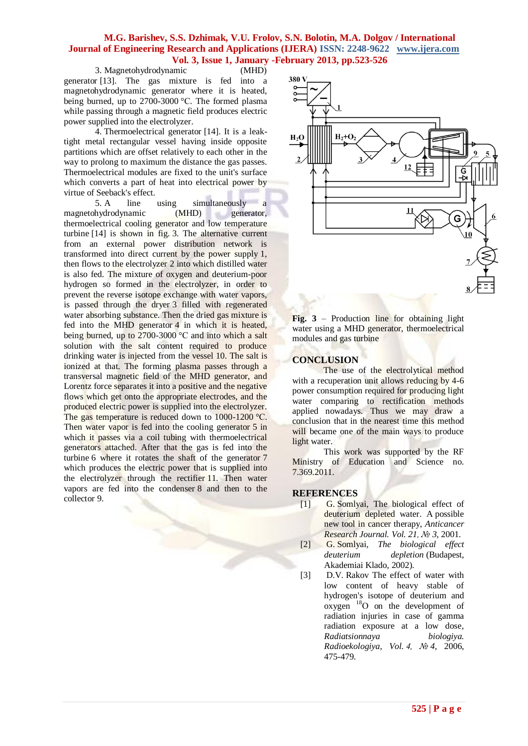## **M.G. Barishev, S.S. Dzhimak, V.U. Frolov, S.N. Bolotin, M.A. Dolgov / International Journal of Engineering Research and Applications (IJERA) ISSN: 2248-9622 www.ijera.com Vol. 3, Issue 1, January -February 2013, pp.523-526**

3. Magnetohydrodynamic (MHD) generator [13]. The gas mixture is fed into a magnetohydrodynamic generator where it is heated, being burned, up to 2700-3000 °С. The formed plasma while passing through a magnetic field produces electric power supplied into the electrolyzer.

4. Thermoelectrical generator [14]. It is a leaktight metal rectangular vessel having inside opposite partitions which are offset relatively to each other in the way to prolong to maximum the distance the gas passes. Thermoelectrical modules are fixed to the unit's surface which converts a part of heat into electrical power by virtue of Seeback's effect.

5. A line using simultaneously a magnetohydrodynamic (MHD) generator, thermoelectrical cooling generator and low temperature turbine [14] is shown in fig. 3. The alternative current from an external power distribution network is transformed into direct current by the power supply 1, then flows to the electrolyzer 2 into which distilled water is also fed. The mixture of oxygen and deuterium-poor hydrogen so formed in the electrolyzer, in order to prevent the reverse isotope exchange with water vapors, is passed through the dryer 3 filled with regenerated water absorbing substance. Then the dried gas mixture is fed into the MHD generator 4 in which it is heated, being burned, up to 2700-3000 °C and into which a salt solution with the salt content required to produce drinking water is injected from the vessel 10. The salt is ionized at that. The forming plasma passes through a transversal magnetic field of the MHD generator, and Lorentz force separates it into a positive and the negative flows which get onto the appropriate electrodes, and the produced electric power is supplied into the electrolyzer. The gas temperature is reduced down to 1000-1200 °C. Then water vapor is fed into the cooling generator 5 in which it passes via a coil tubing with thermoelectrical generators attached. After that the gas is fed into the turbine 6 where it rotates the shaft of the generator 7 which produces the electric power that is supplied into the electrolyzer through the rectifier 11. Then water vapors are fed into the condenser 8 and then to the collector 9.



**Fig. 3** – Production line for obtaining light water using a MHD generator, thermoelectrical modules and gas turbine

## **CONCLUSION**

The use of the electrolytical method with a recuperation unit allows reducing by 4-6 power consumption required for producing light water comparing to rectification methods applied nowadays. Thus we may draw a conclusion that in the nearest time this method will became one of the main ways to produce light water.

This work was supported by the RF Ministry of Education and Science no. 7.369.2011.

### **REFERENCES**

- [1] G. Somlyai, The biological effect of deuterium depleted water. A possible new tool in cancer therapy, *Anticancer Research Journal. Vol. 21, № 3,* 2001.
- [2] G. Somlyai, *The biological effect deuterium depletion* (Budapest, Akademiai Klado, 2002).
- [3] D.V. Rakov The effect of water with low content of heavy stable of hydrogen's isotope of deuterium and  $oxygen$ <sup>18</sup>O on the development of radiation injuries in case of gamma radiation exposure at a low dose, *Radiatsionnaya biologiya. Radioekologiya, Vol. 4, № 4,* 2006, 475-479.